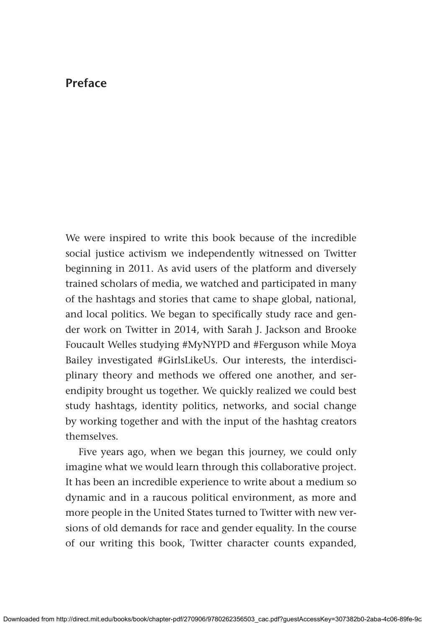## **Preface**

We were inspired to write this book because of the incredible social justice activism we independently witnessed on Twitter beginning in 2011. As avid users of the platform and diversely trained scholars of media, we watched and participated in many of the hashtags and stories that came to shape global, national, and local politics. We began to specifically study race and gender work on Twitter in 2014, with Sarah J. Jackson and Brooke Foucault Welles studying #MyNYPD and #Ferguson while Moya Bailey investigated #GirlsLikeUs. Our interests, the interdisciplinary theory and methods we offered one another, and serendipity brought us together. We quickly realized we could best study hashtags, identity politics, networks, and social change by working together and with the input of the hashtag creators themselves.

Five years ago, when we began this journey, we could only imagine what we would learn through this collaborative project. It has been an incredible experience to write about a medium so dynamic and in a raucous political environment, as more and more people in the United States turned to Twitter with new versions of old demands for race and gender equality. In the course of our writing this book, Twitter character counts expanded,